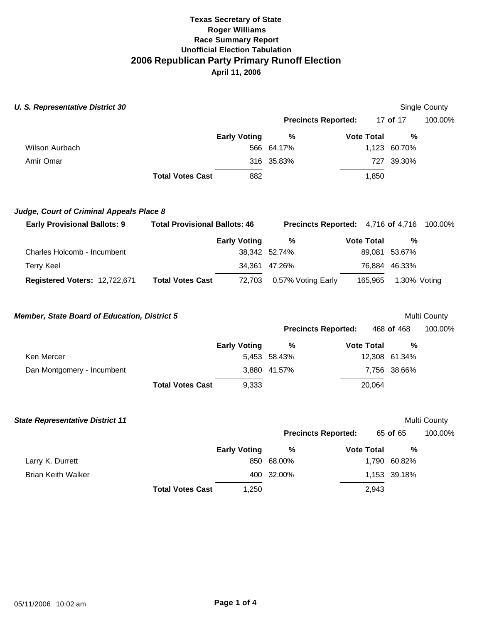| <b>U. S. Representative District 30</b>      |                                      |                     |                                    |                   |               | Single County |
|----------------------------------------------|--------------------------------------|---------------------|------------------------------------|-------------------|---------------|---------------|
|                                              |                                      |                     | <b>Precincts Reported:</b>         |                   | 17 of 17      | 100.00%       |
|                                              |                                      | <b>Early Voting</b> | %                                  | <b>Vote Total</b> | %             |               |
| Wilson Aurbach                               |                                      |                     | 566 64.17%                         |                   | 1,123 60.70%  |               |
| Amir Omar                                    |                                      |                     | 316 35.83%                         |                   | 727 39.30%    |               |
|                                              | <b>Total Votes Cast</b>              | 882                 |                                    | 1,850             |               |               |
| Judge, Court of Criminal Appeals Place 8     |                                      |                     |                                    |                   |               |               |
| <b>Early Provisional Ballots: 9</b>          | <b>Total Provisional Ballots: 46</b> |                     | Precincts Reported: 4,716 of 4,716 |                   |               | 100.00%       |
|                                              |                                      | <b>Early Voting</b> | %                                  | <b>Vote Total</b> | ℅             |               |
| Charles Holcomb - Incumbent                  |                                      |                     | 38,342 52.74%                      |                   | 89,081 53.67% |               |
| <b>Terry Keel</b>                            |                                      |                     | 34,361 47.26%                      |                   | 76,884 46.33% |               |
| Registered Voters: 12,722,671                | <b>Total Votes Cast</b>              | 72,703              | 0.57% Voting Early                 | 165,965           |               | 1.30% Voting  |
| Member, State Board of Education, District 5 |                                      |                     |                                    |                   |               | Multi County  |
|                                              |                                      |                     | <b>Precincts Reported:</b>         |                   | 468 of 468    | 100.00%       |
|                                              |                                      | <b>Early Voting</b> | $\%$                               | <b>Vote Total</b> | $\frac{0}{0}$ |               |
| Ken Mercer                                   |                                      |                     | 5,453 58.43%                       |                   | 12,308 61.34% |               |
| Dan Montgomery - Incumbent                   |                                      |                     | 3,880 41.57%                       |                   | 7,756 38.66%  |               |
|                                              | <b>Total Votes Cast</b>              | 9,333               |                                    | 20,064            |               |               |
| <b>State Representative District 11</b>      |                                      |                     |                                    |                   |               | Multi County  |
|                                              |                                      |                     | <b>Precincts Reported:</b>         |                   | 65 of 65      | 100.00%       |
|                                              |                                      | <b>Early Voting</b> | %                                  | <b>Vote Total</b> | %             |               |
| Larry K. Durrett                             |                                      |                     | 850 68.00%                         |                   | 1,790 60.82%  |               |
| <b>Brian Keith Walker</b>                    |                                      |                     | 400 32.00%                         |                   | 1,153 39.18%  |               |
|                                              | <b>Total Votes Cast</b>              | 1,250               |                                    | 2,943             |               |               |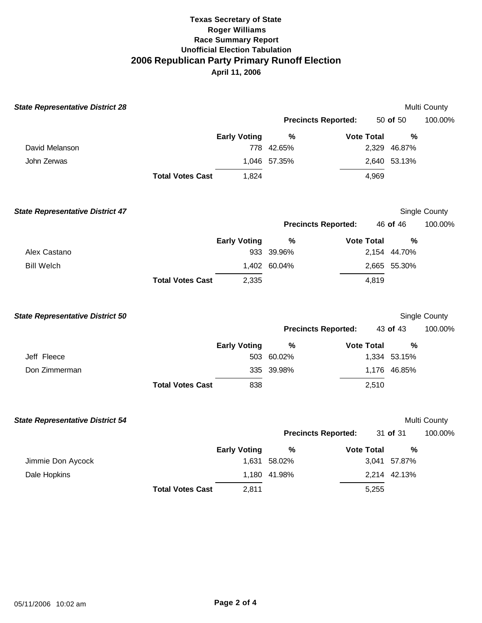| <b>State Representative District 28</b> |                         |                     |                            |                   |              | Multi County  |
|-----------------------------------------|-------------------------|---------------------|----------------------------|-------------------|--------------|---------------|
|                                         |                         |                     | <b>Precincts Reported:</b> |                   | 50 of 50     | 100.00%       |
|                                         |                         | <b>Early Voting</b> | $\frac{0}{0}$              | <b>Vote Total</b> | $\%$         |               |
| David Melanson<br>John Zerwas           |                         |                     | 778 42.65%                 |                   | 2,329 46.87% |               |
|                                         |                         |                     | 1,046 57.35%               |                   | 2,640 53.13% |               |
|                                         | <b>Total Votes Cast</b> | 1,824               |                            | 4,969             |              |               |
| <b>State Representative District 47</b> |                         |                     |                            |                   |              | Single County |
|                                         |                         |                     | <b>Precincts Reported:</b> |                   | 46 of 46     | 100.00%       |
|                                         |                         | <b>Early Voting</b> | $\%$                       | <b>Vote Total</b> | %            |               |
| Alex Castano                            |                         |                     | 933 39.96%                 |                   | 2,154 44.70% |               |
| <b>Bill Welch</b>                       |                         |                     | 1,402 60.04%               |                   | 2,665 55.30% |               |
|                                         | <b>Total Votes Cast</b> | 2,335               |                            | 4,819             |              |               |
| <b>State Representative District 50</b> |                         |                     |                            |                   |              | Single County |
|                                         |                         |                     | <b>Precincts Reported:</b> | 43 of 43          |              | 100.00%       |
|                                         |                         | <b>Early Voting</b> | $\%$                       | <b>Vote Total</b> | ℅            |               |
| Jeff Fleece                             |                         |                     | 503 60.02%                 |                   | 1,334 53.15% |               |
| Don Zimmerman                           |                         |                     | 335 39.98%                 |                   | 1,176 46.85% |               |
|                                         | <b>Total Votes Cast</b> | 838                 |                            | 2,510             |              |               |
| <b>State Representative District 54</b> |                         |                     |                            |                   |              | Multi County  |
|                                         |                         |                     | <b>Precincts Reported:</b> |                   | 31 of 31     | 100.00%       |
|                                         |                         | <b>Early Voting</b> | $\frac{0}{0}$              | <b>Vote Total</b> | %            |               |
| Jimmie Don Aycock                       |                         |                     | 1,631 58.02%               |                   | 3,041 57.87% |               |
| Dale Hopkins                            |                         |                     | 1,180 41.98%               |                   | 2,214 42.13% |               |
|                                         | <b>Total Votes Cast</b> | 2,811               |                            | 5,255             |              |               |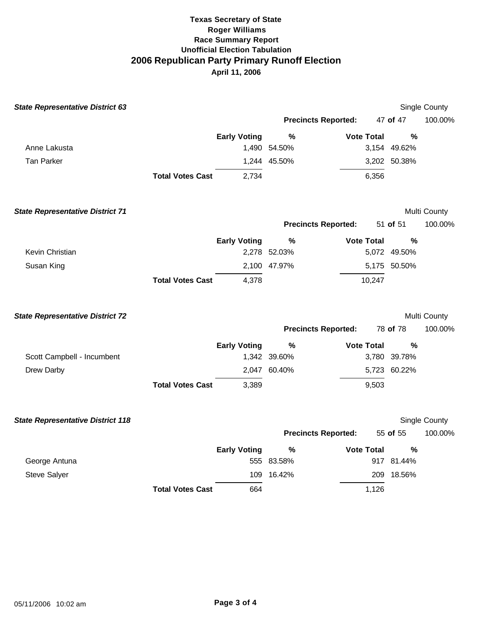| <b>State Representative District 63</b>  |                         |                     |                            |                   |              | Single County |
|------------------------------------------|-------------------------|---------------------|----------------------------|-------------------|--------------|---------------|
|                                          |                         |                     | <b>Precincts Reported:</b> |                   | 47 of 47     | 100.00%       |
|                                          |                         | <b>Early Voting</b> | $\%$                       | <b>Vote Total</b> | %            |               |
| Anne Lakusta                             |                         |                     | 1,490 54.50%               |                   | 3,154 49.62% |               |
| <b>Tan Parker</b>                        |                         |                     | 1,244 45.50%               |                   | 3,202 50.38% |               |
|                                          | <b>Total Votes Cast</b> | 2,734               |                            | 6,356             |              |               |
| <b>State Representative District 71</b>  |                         |                     |                            |                   |              | Multi County  |
|                                          |                         |                     | <b>Precincts Reported:</b> |                   | 51 of 51     | 100.00%       |
|                                          |                         | <b>Early Voting</b> | $\%$                       | <b>Vote Total</b> | %            |               |
| Kevin Christian                          |                         |                     | 2,278 52.03%               |                   | 5,072 49.50% |               |
| Susan King                               |                         |                     | 2,100 47.97%               |                   | 5,175 50.50% |               |
|                                          | <b>Total Votes Cast</b> | 4,378               |                            | 10,247            |              |               |
| <b>State Representative District 72</b>  |                         |                     |                            |                   |              | Multi County  |
|                                          |                         |                     | <b>Precincts Reported:</b> |                   | 78 of 78     | 100.00%       |
|                                          |                         | <b>Early Voting</b> | %                          | <b>Vote Total</b> | %            |               |
| Scott Campbell - Incumbent               |                         |                     | 1,342 39.60%               |                   | 3,780 39.78% |               |
| Drew Darby                               |                         |                     | 2,047 60.40%               |                   | 5,723 60.22% |               |
|                                          | <b>Total Votes Cast</b> | 3,389               |                            | 9,503             |              |               |
| <b>State Representative District 118</b> |                         |                     |                            |                   |              | Single County |
|                                          |                         |                     | <b>Precincts Reported:</b> |                   | 55 of 55     | 100.00%       |
|                                          |                         | <b>Early Voting</b> | $\%$                       | <b>Vote Total</b> | $\%$         |               |
| George Antuna                            |                         |                     | 555 83.58%                 |                   | 917 81.44%   |               |
| Steve Salyer                             |                         |                     | 109 16.42%                 | 209               | 18.56%       |               |
|                                          | <b>Total Votes Cast</b> | 664                 |                            | 1,126             |              |               |